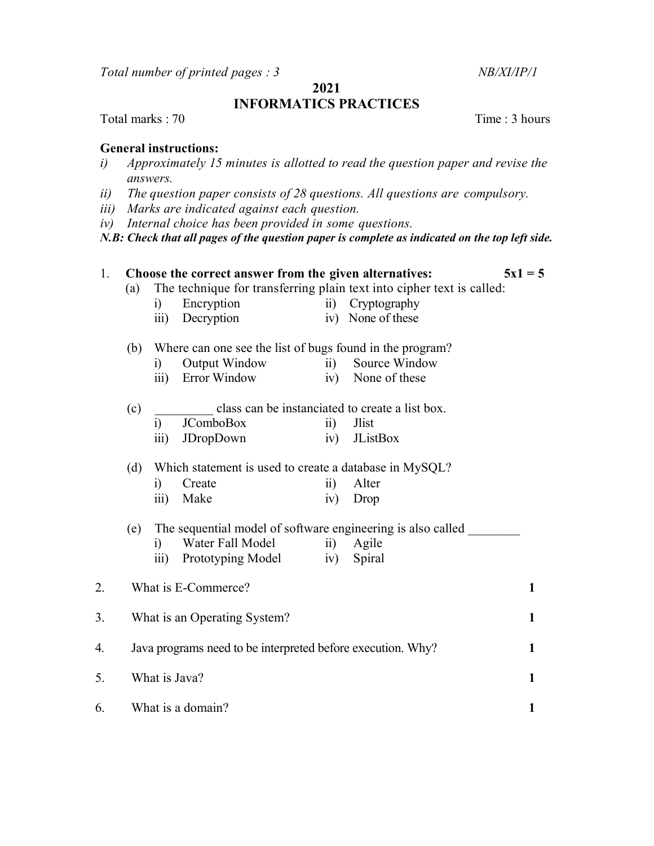Total number of printed pages : 3 NB/XI/IP/1

## 2021 INFORMATICS PRACTICES

Total marks : 70 Time : 3 hours

## General instructions:

- i) Approximately 15 minutes is allotted to read the question paper and revise the answers.
- ii) The question paper consists of 28 questions. All questions are compulsory.
- iii) Marks are indicated against each question.
- iv) Internal choice has been provided in some questions.

 $N.B: Check that all pages of the question paper is complete as indicated on the top left side.$ 

| 1. | Choose the correct answer from the given alternatives:<br>$5x1 = 5$ |                                                                       |                              |                      |                   |              |  |
|----|---------------------------------------------------------------------|-----------------------------------------------------------------------|------------------------------|----------------------|-------------------|--------------|--|
|    | (a)                                                                 | The technique for transferring plain text into cipher text is called: |                              |                      |                   |              |  |
|    |                                                                     | i)                                                                    | Encryption                   | $\ddot{\text{ii}}$ ) | Cryptography      |              |  |
|    |                                                                     | $\overline{\text{iii}}$                                               | Decryption                   |                      | iv) None of these |              |  |
|    | (b)                                                                 | Where can one see the list of bugs found in the program?              |                              |                      |                   |              |  |
|    |                                                                     | i)                                                                    | Output Window                | $\overline{11}$ )    | Source Window     |              |  |
|    |                                                                     | $\overline{\text{iii}}$                                               | Error Window                 |                      | iv) None of these |              |  |
|    | (c)                                                                 | class can be instanciated to create a list box.                       |                              |                      |                   |              |  |
|    |                                                                     | i)                                                                    | <b>JComboBox</b>             | $\rm ii)$            | <b>Jlist</b>      |              |  |
|    |                                                                     | $\overline{111}$                                                      | JDropDown                    | iv)                  | <b>JListBox</b>   |              |  |
|    | (d)                                                                 | Which statement is used to create a database in MySQL?                |                              |                      |                   |              |  |
|    |                                                                     | i)                                                                    | Create                       | $\ddot{\text{ii}})$  | Alter             |              |  |
|    |                                                                     | $\overline{\text{iii}}$                                               | Make                         | iv)                  | Drop              |              |  |
|    | (e)                                                                 | The sequential model of software engineering is also called           |                              |                      |                   |              |  |
|    |                                                                     | i)                                                                    | Water Fall Model             | $\overline{11}$      | Agile             |              |  |
|    |                                                                     | $\overline{\text{iii}}$                                               | Prototyping Model            | iv)                  | Spiral            |              |  |
| 2. |                                                                     |                                                                       | What is E-Commerce?          |                      |                   | $\mathbf{1}$ |  |
|    |                                                                     |                                                                       |                              |                      |                   | $\mathbf{1}$ |  |
| 3. |                                                                     |                                                                       | What is an Operating System? |                      |                   |              |  |
| 4. | Java programs need to be interpreted before execution. Why?         |                                                                       |                              |                      |                   |              |  |
| 5. | What is Java?                                                       |                                                                       |                              |                      |                   |              |  |
| 6. |                                                                     |                                                                       | What is a domain?            |                      |                   | 1            |  |
|    |                                                                     |                                                                       |                              |                      |                   |              |  |
|    |                                                                     |                                                                       |                              |                      |                   |              |  |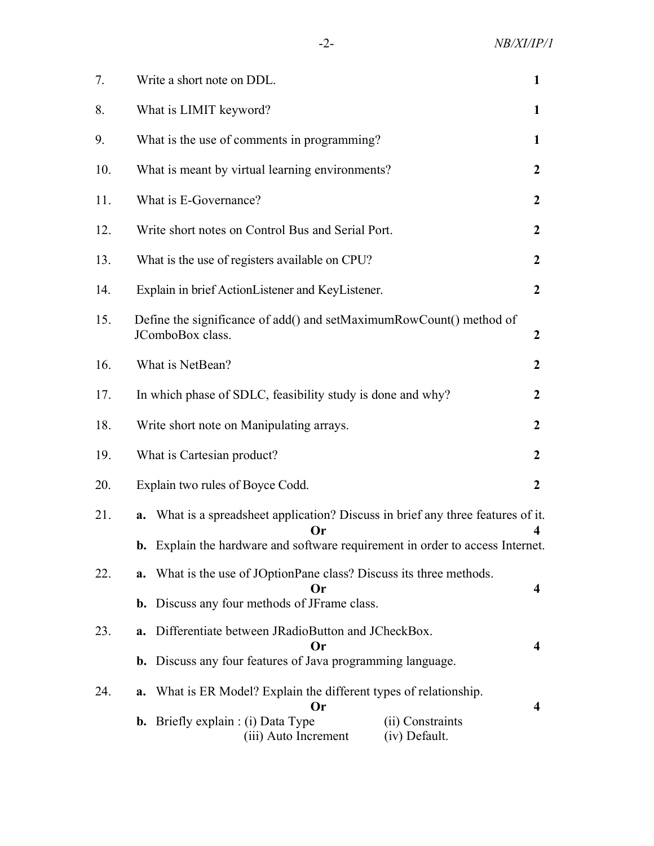| 7.  | Write a short note on DDL.                                                                                                                                                           |                  |  |  |  |  |
|-----|--------------------------------------------------------------------------------------------------------------------------------------------------------------------------------------|------------------|--|--|--|--|
| 8.  | What is LIMIT keyword?                                                                                                                                                               |                  |  |  |  |  |
| 9.  | What is the use of comments in programming?                                                                                                                                          | 1                |  |  |  |  |
| 10. | What is meant by virtual learning environments?                                                                                                                                      |                  |  |  |  |  |
| 11. | What is E-Governance?                                                                                                                                                                | $\overline{2}$   |  |  |  |  |
| 12. | Write short notes on Control Bus and Serial Port.                                                                                                                                    |                  |  |  |  |  |
| 13. | What is the use of registers available on CPU?                                                                                                                                       | $\boldsymbol{2}$ |  |  |  |  |
| 14. | Explain in brief ActionListener and KeyListener.                                                                                                                                     | $\boldsymbol{2}$ |  |  |  |  |
| 15. | Define the significance of add() and setMaximumRowCount() method of<br>JComboBox class.                                                                                              | $\boldsymbol{2}$ |  |  |  |  |
| 16. | What is NetBean?                                                                                                                                                                     | $\boldsymbol{2}$ |  |  |  |  |
| 17. | In which phase of SDLC, feasibility study is done and why?                                                                                                                           | $\boldsymbol{2}$ |  |  |  |  |
| 18. | Write short note on Manipulating arrays.                                                                                                                                             |                  |  |  |  |  |
| 19. | What is Cartesian product?                                                                                                                                                           | $\boldsymbol{2}$ |  |  |  |  |
| 20. | Explain two rules of Boyce Codd.                                                                                                                                                     | $\boldsymbol{2}$ |  |  |  |  |
| 21. | a. What is a spreadsheet application? Discuss in brief any three features of it.<br><b>b.</b> Explain the hardware and software requirement in order to access Internet.             |                  |  |  |  |  |
| 22. | <b>a.</b> What is the use of JOptionPane class? Discuss its three methods.<br>Or<br><b>b.</b> Discuss any four methods of JFrame class.                                              |                  |  |  |  |  |
| 23. | a. Differentiate between JRadioButton and JCheckBox.<br>Or<br><b>b.</b> Discuss any four features of Java programming language.                                                      |                  |  |  |  |  |
| 24. | What is ER Model? Explain the different types of relationship.<br>a.<br>Or<br><b>b.</b> Briefly explain : (i) Data Type<br>(ii) Constraints<br>(iii) Auto Increment<br>(iv) Default. | 4                |  |  |  |  |